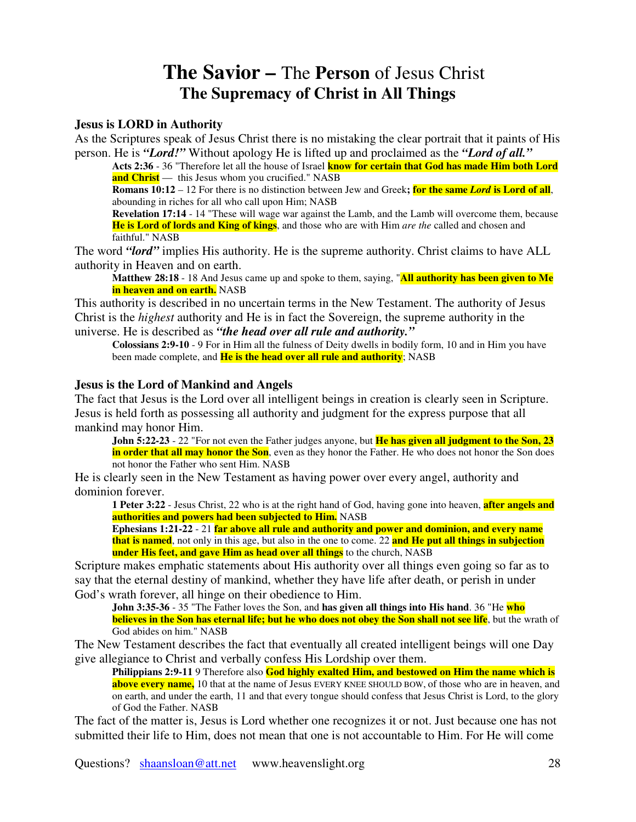## **The Savior –** The **Person** of Jesus Christ **The Supremacy of Christ in All Things**

## **Jesus is LORD in Authority**

As the Scriptures speak of Jesus Christ there is no mistaking the clear portrait that it paints of His person. He is *"Lord!"* Without apology He is lifted up and proclaimed as the *"Lord of all."*

**Acts 2:36** - 36 "Therefore let all the house of Israel **know for certain that God has made Him both Lord and Christ** — this Jesus whom you crucified." NASB

**Romans 10:12** – 12 For there is no distinction between Jew and Greek**; for the same** *Lord* **is Lord of all**, abounding in riches for all who call upon Him; NASB

**Revelation 17:14** - 14 "These will wage war against the Lamb, and the Lamb will overcome them, because **He is Lord of lords and King of kings**, and those who are with Him *are the* called and chosen and faithful." NASB

The word *"lord"* implies His authority. He is the supreme authority. Christ claims to have ALL authority in Heaven and on earth.

**Matthew 28:18** - 18 And Jesus came up and spoke to them, saying, "**All authority has been given to Me in heaven and on earth.** NASB

This authority is described in no uncertain terms in the New Testament. The authority of Jesus Christ is the *highest* authority and He is in fact the Sovereign, the supreme authority in the universe. He is described as *"the head over all rule and authority."*

**Colossians 2:9-10** - 9 For in Him all the fulness of Deity dwells in bodily form, 10 and in Him you have been made complete, and **He is the head over all rule and authority**; NASB

## **Jesus is the Lord of Mankind and Angels**

The fact that Jesus is the Lord over all intelligent beings in creation is clearly seen in Scripture. Jesus is held forth as possessing all authority and judgment for the express purpose that all mankind may honor Him.

**John 5:22-23** - 22 "For not even the Father judges anyone, but **He has given all judgment to the Son, 23 in order that all may honor the Son**, even as they honor the Father. He who does not honor the Son does not honor the Father who sent Him. NASB

He is clearly seen in the New Testament as having power over every angel, authority and dominion forever.

**1 Peter 3:22** - Jesus Christ, 22 who is at the right hand of God, having gone into heaven, **after angels and authorities and powers had been subjected to Him.** NASB

**Ephesians 1:21-22** - 21 **far above all rule and authority and power and dominion, and every name that is named**, not only in this age, but also in the one to come. 22 **and He put all things in subjection under His feet, and gave Him as head over all things** to the church, NASB

Scripture makes emphatic statements about His authority over all things even going so far as to say that the eternal destiny of mankind, whether they have life after death, or perish in under God's wrath forever, all hinge on their obedience to Him.

**John 3:35-36** - 35 "The Father loves the Son, and **has given all things into His hand**. 36 "He **who believes in the Son has eternal life; but he who does not obey the Son shall not see life**, but the wrath of God abides on him." NASB

The New Testament describes the fact that eventually all created intelligent beings will one Day give allegiance to Christ and verbally confess His Lordship over them.

**Philippians 2:9-11** 9 Therefore also **God highly exalted Him, and bestowed on Him the name which is above every name,** 10 that at the name of Jesus EVERY KNEE SHOULD BOW, of those who are in heaven, and on earth, and under the earth, 11 and that every tongue should confess that Jesus Christ is Lord, to the glory of God the Father. NASB

The fact of the matter is, Jesus is Lord whether one recognizes it or not. Just because one has not submitted their life to Him, does not mean that one is not accountable to Him. For He will come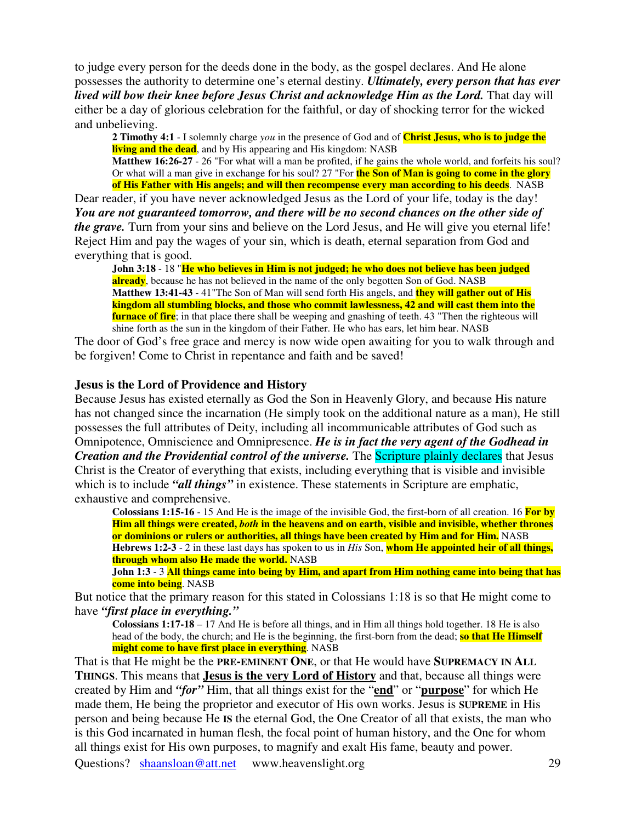to judge every person for the deeds done in the body, as the gospel declares. And He alone possesses the authority to determine one's eternal destiny. *Ultimately, every person that has ever lived will bow their knee before Jesus Christ and acknowledge Him as the Lord.* That day will either be a day of glorious celebration for the faithful, or day of shocking terror for the wicked and unbelieving.

**2 Timothy 4:1** - I solemnly charge *you* in the presence of God and of **Christ Jesus, who is to judge the living and the dead**, and by His appearing and His kingdom: NASB

**Matthew 16:26-27** - 26 "For what will a man be profited, if he gains the whole world, and forfeits his soul? Or what will a man give in exchange for his soul? 27 "For **the Son of Man is going to come in the glory of His Father with His angels; and will then recompense every man according to his deeds**. NASB

Dear reader, if you have never acknowledged Jesus as the Lord of your life, today is the day! *You are not guaranteed tomorrow, and there will be no second chances on the other side of the grave.* Turn from your sins and believe on the Lord Jesus, and He will give you eternal life! Reject Him and pay the wages of your sin, which is death, eternal separation from God and everything that is good.

**John 3:18** - 18 "**He who believes in Him is not judged; he who does not believe has been judged already**, because he has not believed in the name of the only begotten Son of God. NASB **Matthew 13:41-43** - 41"The Son of Man will send forth His angels, and **they will gather out of His kingdom all stumbling blocks, and those who commit lawlessness, 42 and will cast them into the furnace of fire**; in that place there shall be weeping and gnashing of teeth. 43 "Then the righteous will shine forth as the sun in the kingdom of their Father. He who has ears, let him hear. NASB

The door of God's free grace and mercy is now wide open awaiting for you to walk through and be forgiven! Come to Christ in repentance and faith and be saved!

## **Jesus is the Lord of Providence and History**

Because Jesus has existed eternally as God the Son in Heavenly Glory, and because His nature has not changed since the incarnation (He simply took on the additional nature as a man), He still possesses the full attributes of Deity, including all incommunicable attributes of God such as Omnipotence, Omniscience and Omnipresence. *He is in fact the very agent of the Godhead in Creation and the Providential control of the universe.* The Scripture plainly declares that Jesus Christ is the Creator of everything that exists, including everything that is visible and invisible which is to include *"all things"* in existence. These statements in Scripture are emphatic, exhaustive and comprehensive.

**Colossians 1:15-16** - 15 And He is the image of the invisible God, the first-born of all creation. 16 **For by Him all things were created,** *both* **in the heavens and on earth, visible and invisible, whether thrones or dominions or rulers or authorities, all things have been created by Him and for Him.** NASB **Hebrews 1:2-3** - 2 in these last days has spoken to us in *His* Son, **whom He appointed heir of all things, through whom also He made the world.** NASB

John 1:3 - 3 All things came into being by Him, and apart from Him nothing came into being that has **come into being**. NASB

But notice that the primary reason for this stated in Colossians 1:18 is so that He might come to have *"first place in everything."*

**Colossians 1:17-18** – 17 And He is before all things, and in Him all things hold together. 18 He is also head of the body, the church; and He is the beginning, the first-born from the dead; so that He Himself **might come to have first place in everything**. NASB

That is that He might be the **PRE-EMINENT ONE**, or that He would have **SUPREMACY IN ALL THINGS**. This means that **Jesus is the very Lord of History** and that, because all things were created by Him and *"for"* Him, that all things exist for the "**end**" or "**purpose**" for which He made them, He being the proprietor and executor of His own works. Jesus is **SUPREME** in His person and being because He **IS** the eternal God, the One Creator of all that exists, the man who is this God incarnated in human flesh, the focal point of human history, and the One for whom all things exist for His own purposes, to magnify and exalt His fame, beauty and power.

Questions? shaansloan@att.net www.heavenslight.org 29